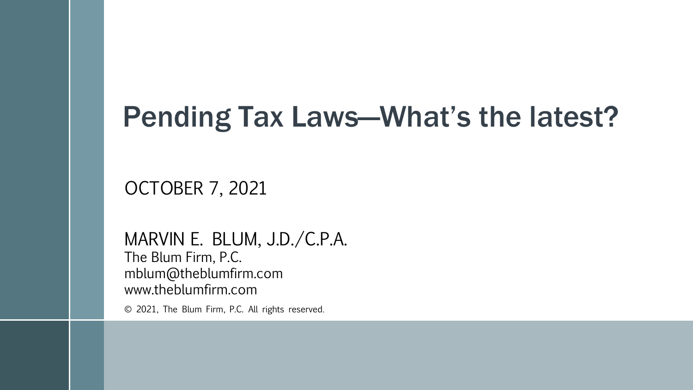# Pending Tax Laws—What's the latest?

#### OCTOBER 7, 2021

#### MARVIN E. BLUM, J.D./C.P.A.

The Blum Firm, P.C. mblum@theblumfirm.com www.theblumfirm.com

© 2021, The Blum Firm, P.C. All rights reserved.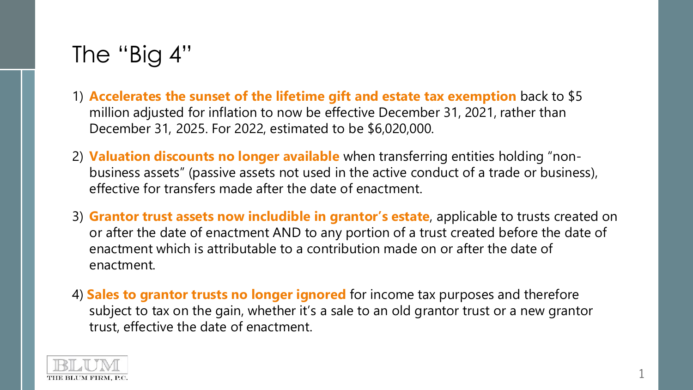### The "Big 4"

- 1) **Accelerates the sunset of the lifetime gift and estate tax exemption** back to \$5 million adjusted for inflation to now be effective December 31, 2021, rather than December 31, 2025. For 2022, estimated to be \$6,020,000.
- 2) **Valuation discounts no longer available** when transferring entities holding "nonbusiness assets" (passive assets not used in the active conduct of a trade or business), effective for transfers made after the date of enactment.
- 3) **Grantor trust assets now includible in grantor's estate**, applicable to trusts created on or after the date of enactment AND to any portion of a trust created before the date of enactment which is attributable to a contribution made on or after the date of enactment.
- 4) **Sales to grantor trusts no longer ignored** for income tax purposes and therefore subject to tax on the gain, whether it's a sale to an old grantor trust or a new grantor trust, effective the date of enactment.

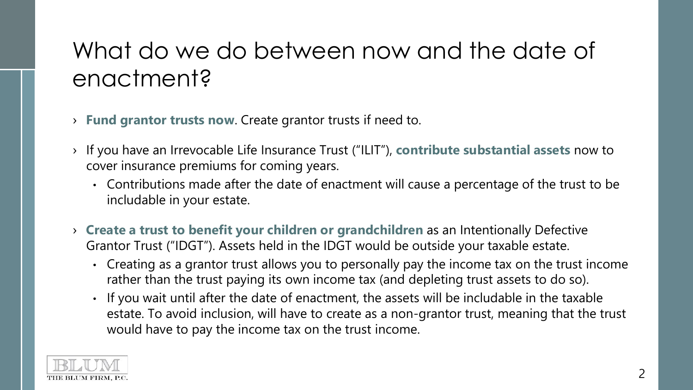## What do we do between now and the date of enactment?

- › **Fund grantor trusts now**. Create grantor trusts if need to.
- › If you have an Irrevocable Life Insurance Trust ("ILIT"), **contribute substantial assets** now to cover insurance premiums for coming years.
	- Contributions made after the date of enactment will cause a percentage of the trust to be includable in your estate.
- › **Create a trust to benefit your children or grandchildren** as an Intentionally Defective Grantor Trust ("IDGT"). Assets held in the IDGT would be outside your taxable estate.
	- Creating as a grantor trust allows you to personally pay the income tax on the trust income rather than the trust paying its own income tax (and depleting trust assets to do so).
	- If you wait until after the date of enactment, the assets will be includable in the taxable estate. To avoid inclusion, will have to create as a non-grantor trust, meaning that the trust would have to pay the income tax on the trust income.

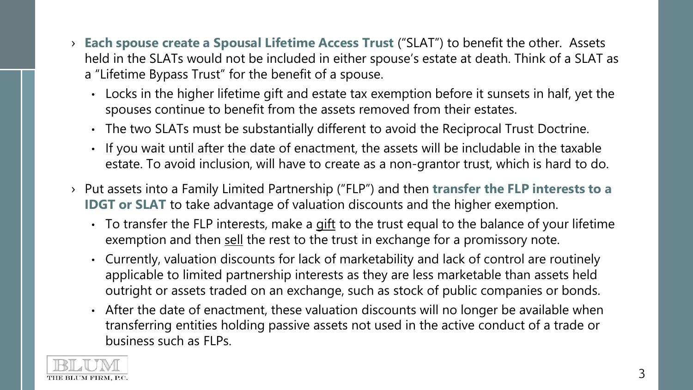- › **Each spouse create a Spousal Lifetime Access Trust** ("SLAT") to benefit the other. Assets held in the SLATs would not be included in either spouse's estate at death. Think of a SLAT as a "Lifetime Bypass Trust" for the benefit of a spouse.
	- Locks in the higher lifetime gift and estate tax exemption before it sunsets in half, yet the spouses continue to benefit from the assets removed from their estates.
	- The two SLATs must be substantially different to avoid the Reciprocal Trust Doctrine.
	- If you wait until after the date of enactment, the assets will be includable in the taxable estate. To avoid inclusion, will have to create as a non-grantor trust, which is hard to do.
- › Put assets into a Family Limited Partnership ("FLP") and then **transfer the FLP interests to a IDGT** or **SLAT** to take advantage of valuation discounts and the higher exemption.
	- To transfer the FLP interests, make a gift to the trust equal to the balance of your lifetime exemption and then sell the rest to the trust in exchange for a promissory note.
	- Currently, valuation discounts for lack of marketability and lack of control are routinely applicable to limited partnership interests as they are less marketable than assets held outright or assets traded on an exchange, such as stock of public companies or bonds.
	- After the date of enactment, these valuation discounts will no longer be available when transferring entities holding passive assets not used in the active conduct of a trade or business such as FLPs.

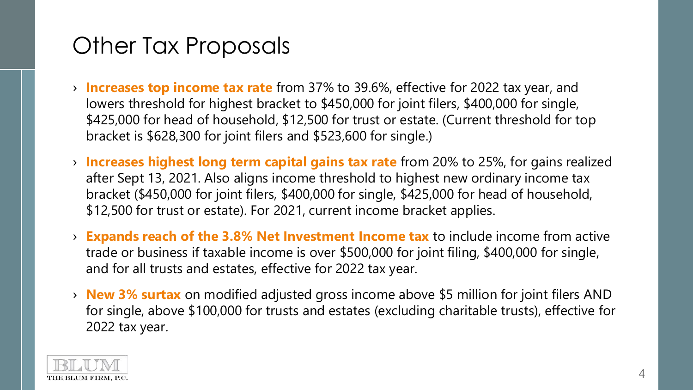### Other Tax Proposals

- › **Increases top income tax rate** from 37% to 39.6%, effective for 2022 tax year, and lowers threshold for highest bracket to \$450,000 for joint filers, \$400,000 for single, \$425,000 for head of household, \$12,500 for trust or estate. (Current threshold for top bracket is \$628,300 for joint filers and \$523,600 for single.)
- › **Increases highest long term capital gains tax rate** from 20% to 25%, for gains realized after Sept 13, 2021. Also aligns income threshold to highest new ordinary income tax bracket (\$450,000 for joint filers, \$400,000 for single, \$425,000 for head of household, \$12,500 for trust or estate). For 2021, current income bracket applies.
- › **Expands reach of the 3.8% Net Investment Income tax** to include income from active trade or business if taxable income is over \$500,000 for joint filing, \$400,000 for single, and for all trusts and estates, effective for 2022 tax year.
- › **New 3% surtax** on modified adjusted gross income above \$5 million for joint filers AND for single, above \$100,000 for trusts and estates (excluding charitable trusts), effective for 2022 tax year.

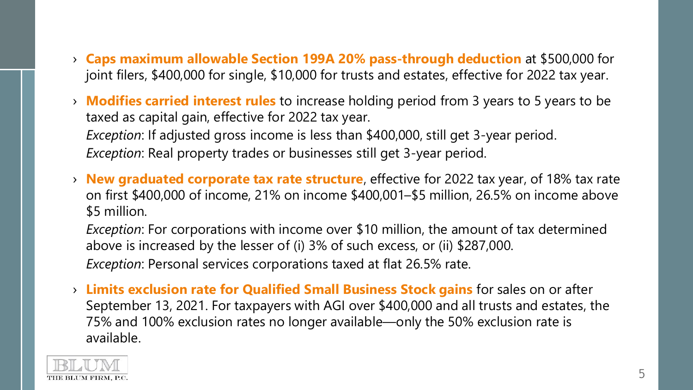- › **Caps maximum allowable Section 199A 20% pass-through deduction** at \$500,000 for joint filers, \$400,000 for single, \$10,000 for trusts and estates, effective for 2022 tax year.
- › **Modifies carried interest rules** to increase holding period from 3 years to 5 years to be taxed as capital gain, effective for 2022 tax year. *Exception*: If adjusted gross income is less than \$400,000, still get 3-year period. *Exception*: Real property trades or businesses still get 3-year period.
- › **New graduated corporate tax rate structure**, effective for 2022 tax year, of 18% tax rate on first \$400,000 of income, 21% on income \$400,001–\$5 million, 26.5% on income above \$5 million.

*Exception*: For corporations with income over \$10 million, the amount of tax determined above is increased by the lesser of (i) 3% of such excess, or (ii) \$287,000. *Exception*: Personal services corporations taxed at flat 26.5% rate.

› **Limits exclusion rate for Qualified Small Business Stock gains** for sales on or after September 13, 2021. For taxpayers with AGI over \$400,000 and all trusts and estates, the 75% and 100% exclusion rates no longer available—only the 50% exclusion rate is available.